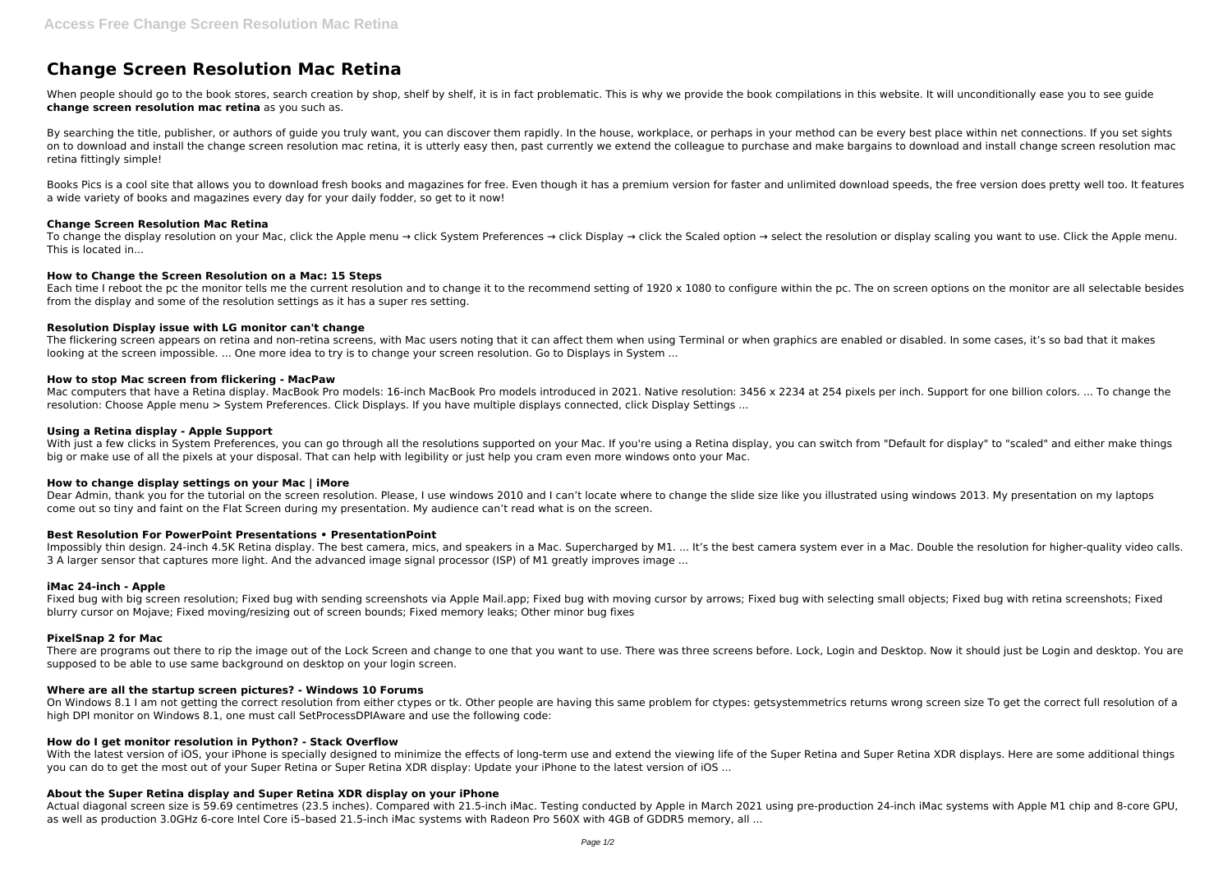# **Change Screen Resolution Mac Retina**

When people should go to the book stores, search creation by shop, shelf by shelf, it is in fact problematic. This is why we provide the book compilations in this website. It will unconditionally ease you to see guide **change screen resolution mac retina** as you such as.

By searching the title, publisher, or authors of quide you truly want, you can discover them rapidly. In the house, workplace, or perhaps in your method can be every best place within net connections. If you set sights on to download and install the change screen resolution mac retina, it is utterly easy then, past currently we extend the colleague to purchase and make bargains to download and install change screen resolution mac retina fittingly simple!

Books Pics is a cool site that allows you to download fresh books and magazines for free. Even though it has a premium version for faster and unlimited download speeds, the free version does pretty well too. It features a wide variety of books and magazines every day for your daily fodder, so get to it now!

To change the display resolution on your Mac, click the Apple menu → click System Preferences → click Display → click the Scaled option → select the resolution or display scaling you want to use. Click the Apple menu. This is located in...

Each time I reboot the pc the monitor tells me the current resolution and to change it to the recommend setting of 1920 x 1080 to configure within the pc. The on screen options on the monitor are all selectable besides from the display and some of the resolution settings as it has a super res setting.

# **Change Screen Resolution Mac Retina**

Mac computers that have a Retina display. MacBook Pro models: 16-inch MacBook Pro models introduced in 2021. Native resolution: 3456 x 2234 at 254 pixels per inch. Support for one billion colors. ... To change the resolution: Choose Apple menu > System Preferences. Click Displays. If you have multiple displays connected, click Display Settings ...

# **How to Change the Screen Resolution on a Mac: 15 Steps**

With just a few clicks in System Preferences, you can go through all the resolutions supported on your Mac. If you're using a Retina display, you can switch from "Default for display" to "scaled" and either make things big or make use of all the pixels at your disposal. That can help with legibility or just help you cram even more windows onto your Mac.

#### **Resolution Display issue with LG monitor can't change**

Impossibly thin design. 24-inch 4.5K Retina display. The best camera, mics, and speakers in a Mac. Supercharged by M1. ... It's the best camera system ever in a Mac. Double the resolution for higher-quality video calls. 3 A larger sensor that captures more light. And the advanced image signal processor (ISP) of M1 greatly improves image ...

The flickering screen appears on retina and non-retina screens, with Mac users noting that it can affect them when using Terminal or when graphics are enabled or disabled. In some cases, it's so bad that it makes looking at the screen impossible. ... One more idea to try is to change your screen resolution. Go to Displays in System ...

#### **How to stop Mac screen from flickering - MacPaw**

There are programs out there to rip the image out of the Lock Screen and change to one that you want to use. There was three screens before. Lock, Login and Desktop. Now it should just be Login and desktop. You are supposed to be able to use same background on desktop on your login screen.

On Windows 8.1 I am not getting the correct resolution from either ctypes or tk. Other people are having this same problem for ctypes: getsystemmetrics returns wrong screen size To get the correct full resolution of a high DPI monitor on Windows 8.1, one must call SetProcessDPIAware and use the following code:

#### **Using a Retina display - Apple Support**

With the latest version of iOS, your iPhone is specially designed to minimize the effects of long-term use and extend the viewing life of the Super Retina and Super Retina XDR displays. Here are some additional things you can do to get the most out of your Super Retina or Super Retina XDR display: Update your iPhone to the latest version of iOS ...

# **How to change display settings on your Mac | iMore**

Dear Admin, thank you for the tutorial on the screen resolution. Please, I use windows 2010 and I can't locate where to change the slide size like you illustrated using windows 2013. My presentation on my laptops come out so tiny and faint on the Flat Screen during my presentation. My audience can't read what is on the screen.

# **Best Resolution For PowerPoint Presentations • PresentationPoint**

#### **iMac 24-inch - Apple**

Fixed bug with big screen resolution; Fixed bug with sending screenshots via Apple Mail.app; Fixed bug with moving cursor by arrows; Fixed bug with selecting small objects; Fixed bug with retina screenshots; Fixed blurry cursor on Mojave; Fixed moving/resizing out of screen bounds; Fixed memory leaks; Other minor bug fixes

# **PixelSnap 2 for Mac**

# **Where are all the startup screen pictures? - Windows 10 Forums**

# **How do I get monitor resolution in Python? - Stack Overflow**

# **About the Super Retina display and Super Retina XDR display on your iPhone**

Actual diagonal screen size is 59.69 centimetres (23.5 inches). Compared with 21.5-inch iMac. Testing conducted by Apple in March 2021 using pre-production 24-inch iMac systems with Apple M1 chip and 8-core GPU, as well as production 3.0GHz 6-core Intel Core i5–based 21.5-inch iMac systems with Radeon Pro 560X with 4GB of GDDR5 memory, all ...